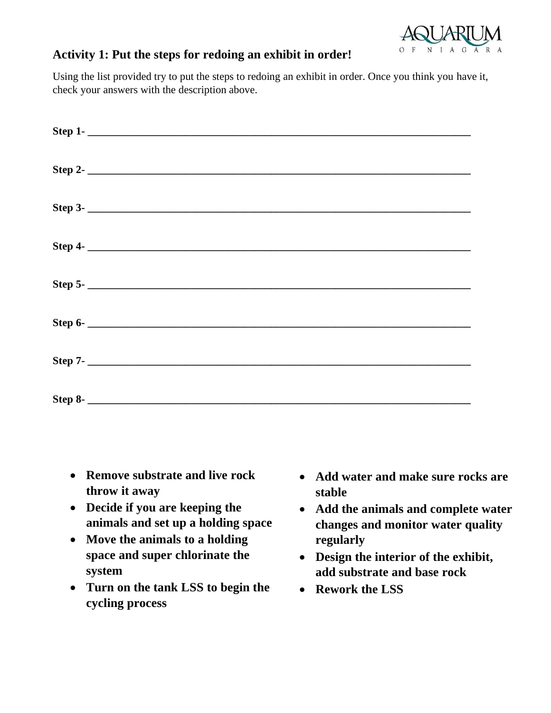

## **Activity 1: Put the steps for redoing an exhibit in order!**

Using the list provided try to put the steps to redoing an exhibit in order. Once you think you have it, check your answers with the description above.

| Step 1- |
|---------|
| Step 2- |
| Step 3- |
|         |
|         |
|         |
|         |
|         |

- **Remove substrate and live rock throw it away**
- **Decide if you are keeping the animals and set up a holding space**
- **Move the animals to a holding space and super chlorinate the system**
- **Turn on the tank LSS to begin the cycling process**
- **Add water and make sure rocks are stable**
- **Add the animals and complete water changes and monitor water quality regularly**
- **Design the interior of the exhibit, add substrate and base rock**
- **Rework the LSS**